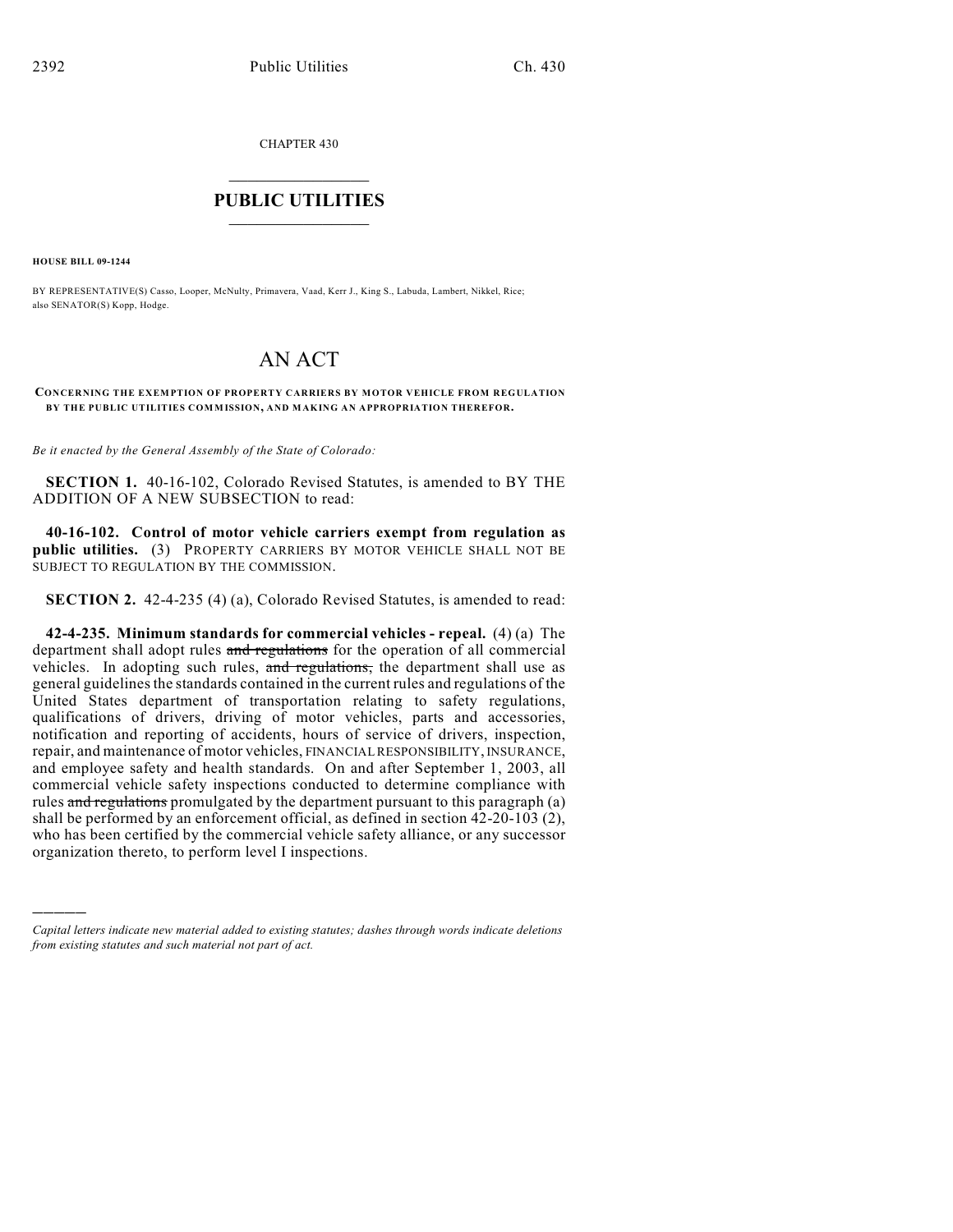CHAPTER 430

## $\mathcal{L}_\text{max}$  . The set of the set of the set of the set of the set of the set of the set of the set of the set of the set of the set of the set of the set of the set of the set of the set of the set of the set of the set **PUBLIC UTILITIES** \_\_\_\_\_\_\_\_\_\_\_\_\_\_\_

**HOUSE BILL 09-1244**

)))))

BY REPRESENTATIVE(S) Casso, Looper, McNulty, Primavera, Vaad, Kerr J., King S., Labuda, Lambert, Nikkel, Rice; also SENATOR(S) Kopp, Hodge.

## AN ACT

## **CONCERNING THE EXEMPTION OF PROPERTY CARRIERS BY MOTOR VEHICLE FROM REGULATION BY THE PUBLIC UTILITIES COMMISSION, AND MAKING AN APPROPRIATION THEREFOR.**

*Be it enacted by the General Assembly of the State of Colorado:*

**SECTION 1.** 40-16-102, Colorado Revised Statutes, is amended to BY THE ADDITION OF A NEW SUBSECTION to read:

**40-16-102. Control of motor vehicle carriers exempt from regulation as public utilities.** (3) PROPERTY CARRIERS BY MOTOR VEHICLE SHALL NOT BE SUBJECT TO REGULATION BY THE COMMISSION.

**SECTION 2.** 42-4-235 (4) (a), Colorado Revised Statutes, is amended to read:

**42-4-235. Minimum standards for commercial vehicles - repeal.** (4) (a) The department shall adopt rules and regulations for the operation of all commercial vehicles. In adopting such rules, and regulations, the department shall use as general guidelines the standards contained in the current rules and regulations of the United States department of transportation relating to safety regulations, qualifications of drivers, driving of motor vehicles, parts and accessories, notification and reporting of accidents, hours of service of drivers, inspection, repair, and maintenance of motor vehicles, FINANCIAL RESPONSIBILITY, INSURANCE, and employee safety and health standards. On and after September 1, 2003, all commercial vehicle safety inspections conducted to determine compliance with rules and regulations promulgated by the department pursuant to this paragraph (a) shall be performed by an enforcement official, as defined in section 42-20-103 (2), who has been certified by the commercial vehicle safety alliance, or any successor organization thereto, to perform level I inspections.

*Capital letters indicate new material added to existing statutes; dashes through words indicate deletions from existing statutes and such material not part of act.*